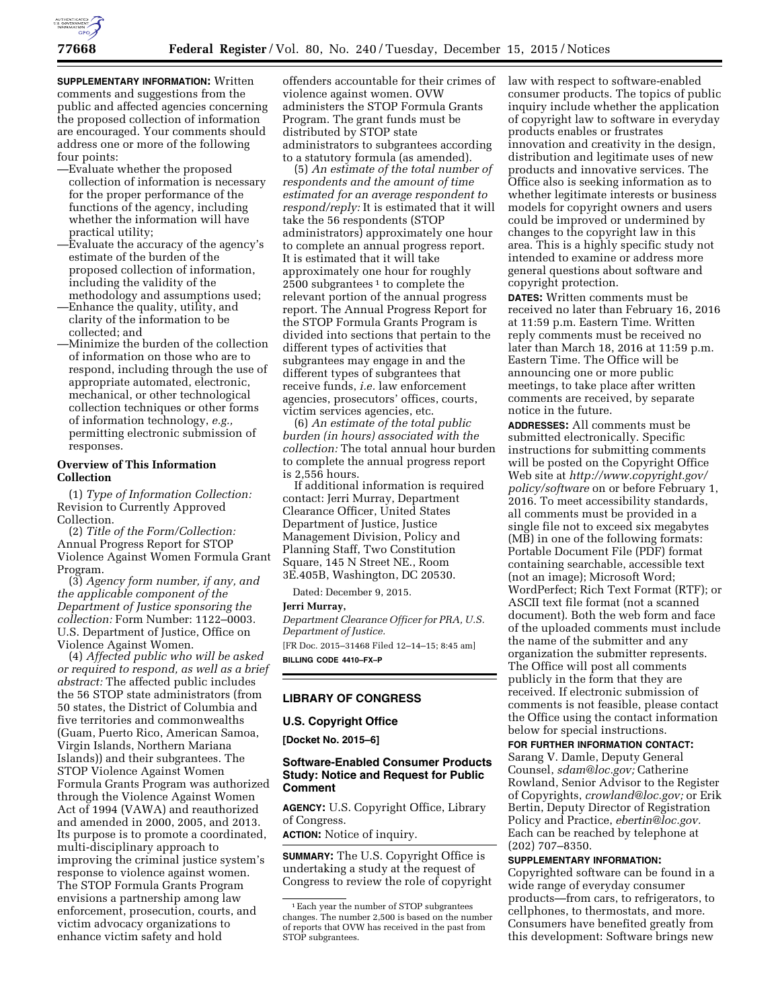

**SUPPLEMENTARY INFORMATION:** Written comments and suggestions from the public and affected agencies concerning the proposed collection of information are encouraged. Your comments should address one or more of the following four points:

- —Evaluate whether the proposed collection of information is necessary for the proper performance of the functions of the agency, including whether the information will have practical utility;
- —Evaluate the accuracy of the agency's estimate of the burden of the proposed collection of information, including the validity of the
- methodology and assumptions used; —Enhance the quality, utility, and clarity of the information to be collected; and
- —Minimize the burden of the collection of information on those who are to respond, including through the use of appropriate automated, electronic, mechanical, or other technological collection techniques or other forms of information technology, *e.g.,*  permitting electronic submission of responses.

# **Overview of This Information Collection**

(1) *Type of Information Collection:*  Revision to Currently Approved Collection.

(2) *Title of the Form/Collection:*  Annual Progress Report for STOP Violence Against Women Formula Grant Program.

(3) *Agency form number, if any, and the applicable component of the Department of Justice sponsoring the collection:* Form Number: 1122–0003. U.S. Department of Justice, Office on Violence Against Women.

(4) *Affected public who will be asked or required to respond, as well as a brief abstract:* The affected public includes the 56 STOP state administrators (from 50 states, the District of Columbia and five territories and commonwealths (Guam, Puerto Rico, American Samoa, Virgin Islands, Northern Mariana Islands)) and their subgrantees. The STOP Violence Against Women Formula Grants Program was authorized through the Violence Against Women Act of 1994 (VAWA) and reauthorized and amended in 2000, 2005, and 2013. Its purpose is to promote a coordinated, multi-disciplinary approach to improving the criminal justice system's response to violence against women. The STOP Formula Grants Program envisions a partnership among law enforcement, prosecution, courts, and victim advocacy organizations to enhance victim safety and hold

offenders accountable for their crimes of violence against women. OVW administers the STOP Formula Grants Program. The grant funds must be distributed by STOP state administrators to subgrantees according to a statutory formula (as amended).

(5) *An estimate of the total number of respondents and the amount of time estimated for an average respondent to respond/reply:* It is estimated that it will take the 56 respondents (STOP administrators) approximately one hour to complete an annual progress report. It is estimated that it will take approximately one hour for roughly 2500 subgrantees 1 to complete the relevant portion of the annual progress report. The Annual Progress Report for the STOP Formula Grants Program is divided into sections that pertain to the different types of activities that subgrantees may engage in and the different types of subgrantees that receive funds, *i.e.* law enforcement agencies, prosecutors' offices, courts, victim services agencies, etc.

(6) *An estimate of the total public burden (in hours) associated with the collection:* The total annual hour burden to complete the annual progress report is 2,556 hours.

If additional information is required contact: Jerri Murray, Department Clearance Officer, United States Department of Justice, Justice Management Division, Policy and Planning Staff, Two Constitution Square, 145 N Street NE., Room 3E.405B, Washington, DC 20530.

Dated: December 9, 2015.

## **Jerri Murray,**

*Department Clearance Officer for PRA, U.S. Department of Justice.*  [FR Doc. 2015–31468 Filed 12–14–15; 8:45 am]

**BILLING CODE 4410–FX–P** 

## **LIBRARY OF CONGRESS**

### **U.S. Copyright Office**

**[Docket No. 2015–6]** 

## **Software-Enabled Consumer Products Study: Notice and Request for Public Comment**

**AGENCY:** U.S. Copyright Office, Library of Congress.

**ACTION:** Notice of inquiry.

**SUMMARY:** The U.S. Copyright Office is undertaking a study at the request of Congress to review the role of copyright law with respect to software-enabled consumer products. The topics of public inquiry include whether the application of copyright law to software in everyday products enables or frustrates innovation and creativity in the design, distribution and legitimate uses of new products and innovative services. The Office also is seeking information as to whether legitimate interests or business models for copyright owners and users could be improved or undermined by changes to the copyright law in this area. This is a highly specific study not intended to examine or address more general questions about software and copyright protection.

**DATES:** Written comments must be received no later than February 16, 2016 at 11:59 p.m. Eastern Time. Written reply comments must be received no later than March 18, 2016 at 11:59 p.m. Eastern Time. The Office will be announcing one or more public meetings, to take place after written comments are received, by separate notice in the future.

**ADDRESSES:** All comments must be submitted electronically. Specific instructions for submitting comments will be posted on the Copyright Office Web site at *[http://www.copyright.gov/](http://www.copyright.gov/policy/software)  [policy/software](http://www.copyright.gov/policy/software)* on or before February 1, 2016. To meet accessibility standards, all comments must be provided in a single file not to exceed six megabytes (MB) in one of the following formats: Portable Document File (PDF) format containing searchable, accessible text (not an image); Microsoft Word; WordPerfect; Rich Text Format (RTF); or ASCII text file format (not a scanned document). Both the web form and face of the uploaded comments must include the name of the submitter and any organization the submitter represents. The Office will post all comments publicly in the form that they are received. If electronic submission of comments is not feasible, please contact the Office using the contact information below for special instructions.

#### **FOR FURTHER INFORMATION CONTACT:**

Sarang V. Damle, Deputy General Counsel, *[sdam@loc.gov;](mailto:sdam@loc.gov)* Catherine Rowland, Senior Advisor to the Register of Copyrights, *[crowland@loc.gov;](mailto:crowland@loc.gov)* or Erik Bertin, Deputy Director of Registration Policy and Practice, *[ebertin@loc.gov.](mailto:ebertin@loc.gov)*  Each can be reached by telephone at (202) 707–8350.

### **SUPPLEMENTARY INFORMATION:**

Copyrighted software can be found in a wide range of everyday consumer products—from cars, to refrigerators, to cellphones, to thermostats, and more. Consumers have benefited greatly from this development: Software brings new

<sup>1</sup>Each year the number of STOP subgrantees changes. The number 2,500 is based on the number of reports that OVW has received in the past from STOP subgrantees.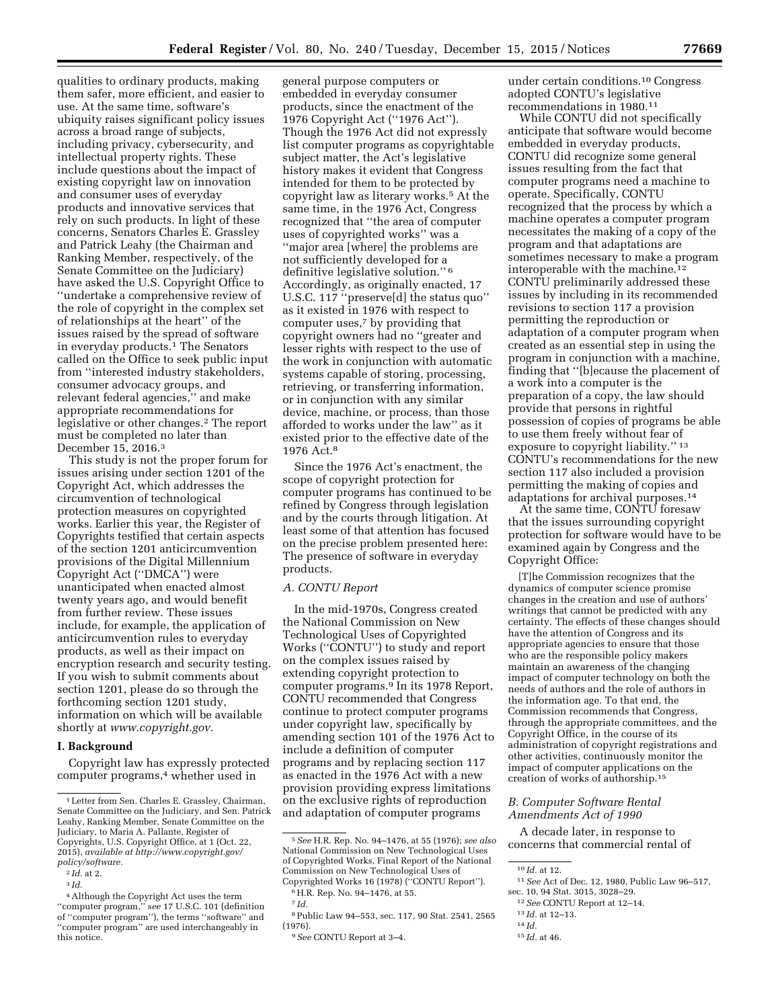qualities to ordinary products, making them safer, more efficient, and easier to use. At the same time, software's ubiquity raises significant policy issues across a broad range of subjects, including privacy, cybersecurity, and intellectual property rights. These include questions about the impact of existing copyright law on innovation and consumer uses of everyday products and innovative services that rely on such products. In light of these concerns, Senators Charles E. Grassley and Patrick Leahy (the Chairman and Ranking Member, respectively, of the Senate Committee on the Judiciary) have asked the U.S. Copyright Office to ''undertake a comprehensive review of the role of copyright in the complex set of relationships at the heart'' of the issues raised by the spread of software in everyday products.1 The Senators called on the Office to seek public input from ''interested industry stakeholders, consumer advocacy groups, and relevant federal agencies,'' and make appropriate recommendations for legislative or other changes.2 The report must be completed no later than December 15, 2016.3

This study is not the proper forum for issues arising under section 1201 of the Copyright Act, which addresses the circumvention of technological protection measures on copyrighted works. Earlier this year, the Register of Copyrights testified that certain aspects of the section 1201 anticircumvention provisions of the Digital Millennium Copyright Act (''DMCA'') were unanticipated when enacted almost twenty years ago, and would benefit from further review. These issues include, for example, the application of anticircumvention rules to everyday products, as well as their impact on encryption research and security testing. If you wish to submit comments about section 1201, please do so through the forthcoming section 1201 study, information on which will be available shortly at *[www.copyright.gov.](http://www.copyright.gov)* 

## **I. Background**

Copyright law has expressly protected computer programs,4 whether used in

general purpose computers or embedded in everyday consumer products, since the enactment of the 1976 Copyright Act (''1976 Act''). Though the 1976 Act did not expressly list computer programs as copyrightable subject matter, the Act's legislative history makes it evident that Congress intended for them to be protected by copyright law as literary works.5 At the same time, in the 1976 Act, Congress recognized that ''the area of computer uses of copyrighted works'' was a ''major area [where] the problems are not sufficiently developed for a definitive legislative solution.'' 6 Accordingly, as originally enacted, 17 U.S.C. 117 ''preserve[d] the status quo'' as it existed in 1976 with respect to computer uses,7 by providing that copyright owners had no ''greater and lesser rights with respect to the use of the work in conjunction with automatic systems capable of storing, processing, retrieving, or transferring information, or in conjunction with any similar device, machine, or process, than those afforded to works under the law'' as it existed prior to the effective date of the 1976 Act.8

Since the 1976 Act's enactment, the scope of copyright protection for computer programs has continued to be refined by Congress through legislation and by the courts through litigation. At least some of that attention has focused on the precise problem presented here: The presence of software in everyday products.

## *A. CONTU Report*

In the mid-1970s, Congress created the National Commission on New Technological Uses of Copyrighted Works (''CONTU'') to study and report on the complex issues raised by extending copyright protection to computer programs.9 In its 1978 Report, CONTU recommended that Congress continue to protect computer programs under copyright law, specifically by amending section 101 of the 1976 Act to include a definition of computer programs and by replacing section 117 as enacted in the 1976 Act with a new provision providing express limitations on the exclusive rights of reproduction and adaptation of computer programs

7 *Id.* 

8Public Law 94–553, sec. 117, 90 Stat. 2541, 2565 (1976).

under certain conditions.10 Congress adopted CONTU's legislative recommendations in 1980.11

While CONTU did not specifically anticipate that software would become embedded in everyday products, CONTU did recognize some general issues resulting from the fact that computer programs need a machine to operate. Specifically, CONTU recognized that the process by which a machine operates a computer program necessitates the making of a copy of the program and that adaptations are sometimes necessary to make a program interoperable with the machine.12 CONTU preliminarily addressed these issues by including in its recommended revisions to section 117 a provision permitting the reproduction or adaptation of a computer program when created as an essential step in using the program in conjunction with a machine, finding that ''[b]ecause the placement of a work into a computer is the preparation of a copy, the law should provide that persons in rightful possession of copies of programs be able to use them freely without fear of exposure to copyright liability.'' 13 CONTU's recommendations for the new section 117 also included a provision permitting the making of copies and adaptations for archival purposes.14

At the same time, CONTU foresaw that the issues surrounding copyright protection for software would have to be examined again by Congress and the Copyright Office:

[T]he Commission recognizes that the dynamics of computer science promise changes in the creation and use of authors' writings that cannot be predicted with any certainty. The effects of these changes should have the attention of Congress and its appropriate agencies to ensure that those who are the responsible policy makers maintain an awareness of the changing impact of computer technology on both the needs of authors and the role of authors in the information age. To that end, the Commission recommends that Congress, through the appropriate committees, and the Copyright Office, in the course of its administration of copyright registrations and other activities, continuously monitor the impact of computer applications on the creation of works of authorship.15

### *B. Computer Software Rental Amendments Act of 1990*

A decade later, in response to concerns that commercial rental of

- 12*See* CONTU Report at 12–14.
- 13 *Id.* at 12–13.
- 14 *Id.*
- 15 *Id.* at 46.

<sup>1</sup>Letter from Sen. Charles E. Grassley, Chairman, Senate Committee on the Judiciary, and Sen. Patrick Leahy, Ranking Member, Senate Committee on the Judiciary, to Maria A. Pallante, Register of Copyrights, U.S. Copyright Office, at 1 (Oct. 22, 2015), *available at [http://www.copyright.gov/](http://www.copyright.gov/policy/software)  [policy/software.](http://www.copyright.gov/policy/software)* 

<sup>2</sup> *Id.* at 2.

<sup>3</sup> *Id.* 

<sup>&</sup>lt;sup>4</sup> Although the Copyright Act uses the term ''computer program,'' s*ee* 17 U.S.C. 101 (definition of ''computer program''), the terms ''software'' and ''computer program'' are used interchangeably in this notice.

<sup>5</sup>*See* H.R. Rep. No. 94–1476, at 55 (1976); *see also*  National Commission on New Technological Uses of Copyrighted Works, Final Report of the National Commission on New Technological Uses of Copyrighted Works 16 (1978) (''CONTU Report''). 6H.R. Rep. No. 94–1476, at 55.

<sup>9</sup>*See* CONTU Report at 3–4.

<sup>10</sup> *Id.* at 12.

<sup>11</sup>*See* Act of Dec. 12, 1980, Public Law 96–517, sec. 10, 94 Stat. 3015, 3028–29.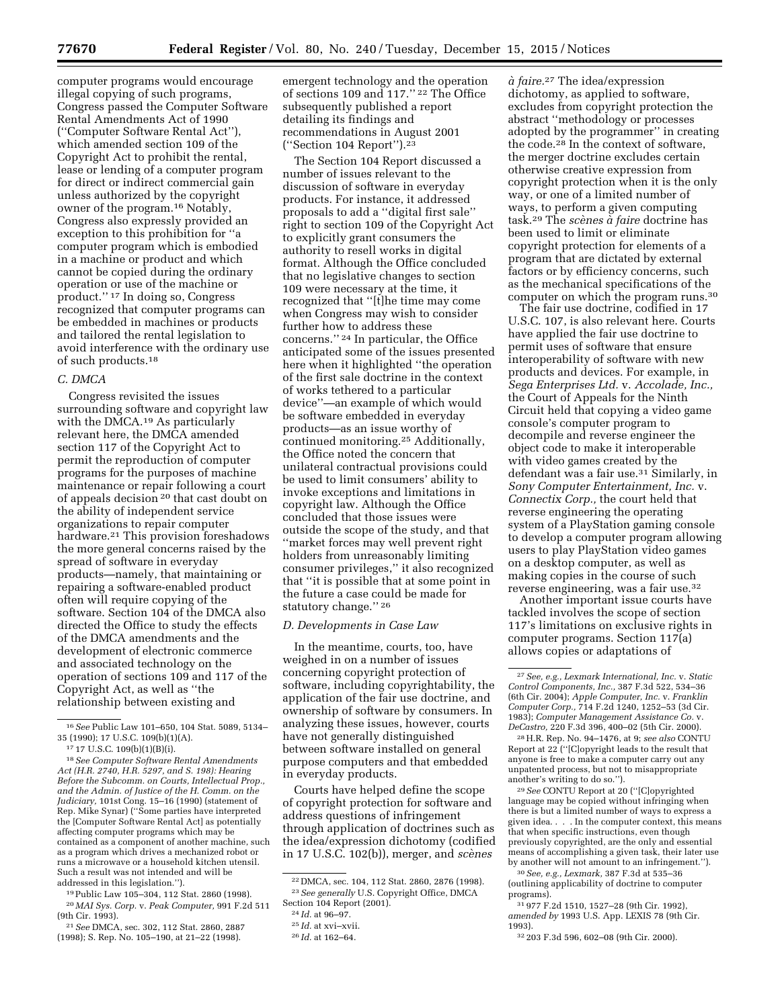computer programs would encourage illegal copying of such programs, Congress passed the Computer Software Rental Amendments Act of 1990 (''Computer Software Rental Act''), which amended section 109 of the Copyright Act to prohibit the rental, lease or lending of a computer program for direct or indirect commercial gain unless authorized by the copyright owner of the program.16 Notably, Congress also expressly provided an exception to this prohibition for ''a computer program which is embodied in a machine or product and which cannot be copied during the ordinary operation or use of the machine or product.'' 17 In doing so, Congress recognized that computer programs can be embedded in machines or products and tailored the rental legislation to avoid interference with the ordinary use of such products.18

### *C. DMCA*

Congress revisited the issues surrounding software and copyright law with the DMCA.19 As particularly relevant here, the DMCA amended section 117 of the Copyright Act to permit the reproduction of computer programs for the purposes of machine maintenance or repair following a court of appeals decision 20 that cast doubt on the ability of independent service organizations to repair computer hardware.21 This provision foreshadows the more general concerns raised by the spread of software in everyday products—namely, that maintaining or repairing a software-enabled product often will require copying of the software. Section 104 of the DMCA also directed the Office to study the effects of the DMCA amendments and the development of electronic commerce and associated technology on the operation of sections 109 and 117 of the Copyright Act, as well as ''the relationship between existing and

19Public Law 105–304, 112 Stat. 2860 (1998). 20 *MAI Sys. Corp.* v. *Peak Computer,* 991 F.2d 511 (9th Cir. 1993).

21*See* DMCA, sec. 302, 112 Stat. 2860, 2887 (1998); S. Rep. No. 105–190, at 21–22 (1998).

emergent technology and the operation of sections 109 and 117.'' 22 The Office subsequently published a report detailing its findings and recommendations in August 2001 (''Section 104 Report'').23

The Section 104 Report discussed a number of issues relevant to the discussion of software in everyday products. For instance, it addressed proposals to add a ''digital first sale'' right to section 109 of the Copyright Act to explicitly grant consumers the authority to resell works in digital format. Although the Office concluded that no legislative changes to section 109 were necessary at the time, it recognized that ''[t]he time may come when Congress may wish to consider further how to address these concerns.'' 24 In particular, the Office anticipated some of the issues presented here when it highlighted ''the operation of the first sale doctrine in the context of works tethered to a particular device''—an example of which would be software embedded in everyday products—as an issue worthy of continued monitoring.25 Additionally, the Office noted the concern that unilateral contractual provisions could be used to limit consumers' ability to invoke exceptions and limitations in copyright law. Although the Office concluded that those issues were outside the scope of the study, and that ''market forces may well prevent right holders from unreasonably limiting consumer privileges,'' it also recognized that ''it is possible that at some point in the future a case could be made for statutory change.'' 26

#### *D. Developments in Case Law*

In the meantime, courts, too, have weighed in on a number of issues concerning copyright protection of software, including copyrightability, the application of the fair use doctrine, and ownership of software by consumers. In analyzing these issues, however, courts have not generally distinguished between software installed on general purpose computers and that embedded in everyday products.

Courts have helped define the scope of copyright protection for software and address questions of infringement through application of doctrines such as the idea/expression dichotomy (codified in 17 U.S.C. 102(b)), merger, and *sce`nes* 

*a` faire.*27 The idea/expression dichotomy, as applied to software, excludes from copyright protection the abstract ''methodology or processes adopted by the programmer'' in creating the code.28 In the context of software, the merger doctrine excludes certain otherwise creative expression from copyright protection when it is the only way, or one of a limited number of ways, to perform a given computing task.29 The *sce`nes a` faire* doctrine has been used to limit or eliminate copyright protection for elements of a program that are dictated by external factors or by efficiency concerns, such as the mechanical specifications of the computer on which the program runs.30

The fair use doctrine, codified in 17 U.S.C. 107, is also relevant here. Courts have applied the fair use doctrine to permit uses of software that ensure interoperability of software with new products and devices. For example, in *Sega Enterprises Ltd.* v. *Accolade, Inc.,*  the Court of Appeals for the Ninth Circuit held that copying a video game console's computer program to decompile and reverse engineer the object code to make it interoperable with video games created by the defendant was a fair use.31 Similarly, in *Sony Computer Entertainment, Inc.* v. *Connectix Corp.,* the court held that reverse engineering the operating system of a PlayStation gaming console to develop a computer program allowing users to play PlayStation video games on a desktop computer, as well as making copies in the course of such reverse engineering, was a fair use.32

Another important issue courts have tackled involves the scope of section 117's limitations on exclusive rights in computer programs. Section 117(a) allows copies or adaptations of

28H.R. Rep. No. 94–1476, at 9; *see also* CONTU Report at 22 (''[C]opyright leads to the result that anyone is free to make a computer carry out any unpatented process, but not to misappropriate another's writing to do so.'').

29*See* CONTU Report at 20 (''[C]opyrighted language may be copied without infringing when there is but a limited number of ways to express a given idea. . . . In the computer context, this means that when specific instructions, even though previously copyrighted, are the only and essential means of accomplishing a given task, their later use by another will not amount to an infringement.'').

30*See, e.g., Lexmark,* 387 F.3d at 535–36 (outlining applicability of doctrine to computer programs).

<sup>16</sup>*See* Public Law 101–650, 104 Stat. 5089, 5134– 35 (1990); 17 U.S.C. 109(b)(1)(A).

<sup>17</sup> 17 U.S.C. 109(b)(1)(B)(i).

<sup>18</sup>*See Computer Software Rental Amendments Act (H.R. 2740, H.R. 5297, and S. 198): Hearing Before the Subcomm. on Courts, Intellectual Prop., and the Admin. of Justice of the H. Comm. on the Judiciary,* 101st Cong. 15–16 (1990) (statement of Rep. Mike Synar) (''Some parties have interpreted the [Computer Software Rental Act] as potentially affecting computer programs which may be contained as a component of another machine, such as a program which drives a mechanized robot or runs a microwave or a household kitchen utensil. Such a result was not intended and will be addressed in this legislation.'').

<sup>22</sup> DMCA, sec. 104, 112 Stat. 2860, 2876 (1998). 23*See generally* U.S. Copyright Office, DMCA Section 104 Report (2001).

<sup>24</sup> *Id.* at 96–97.

<sup>25</sup> *Id.* at xvi–xvii.

<sup>26</sup> *Id.* at 162–64.

<sup>27</sup>*See, e.g., Lexmark International, Inc.* v. *Static Control Components, Inc.,* 387 F.3d 522, 534–36 (6th Cir. 2004); *Apple Computer, Inc.* v. *Franklin Computer Corp.,* 714 F.2d 1240, 1252–53 (3d Cir. 1983); *Computer Management Assistance Co.* v. *DeCastro,* 220 F.3d 396, 400–02 (5th Cir. 2000).

<sup>31</sup> 977 F.2d 1510, 1527–28 (9th Cir. 1992), *amended by* 1993 U.S. App. LEXIS 78 (9th Cir. 1993).

<sup>32</sup> 203 F.3d 596, 602–08 (9th Cir. 2000).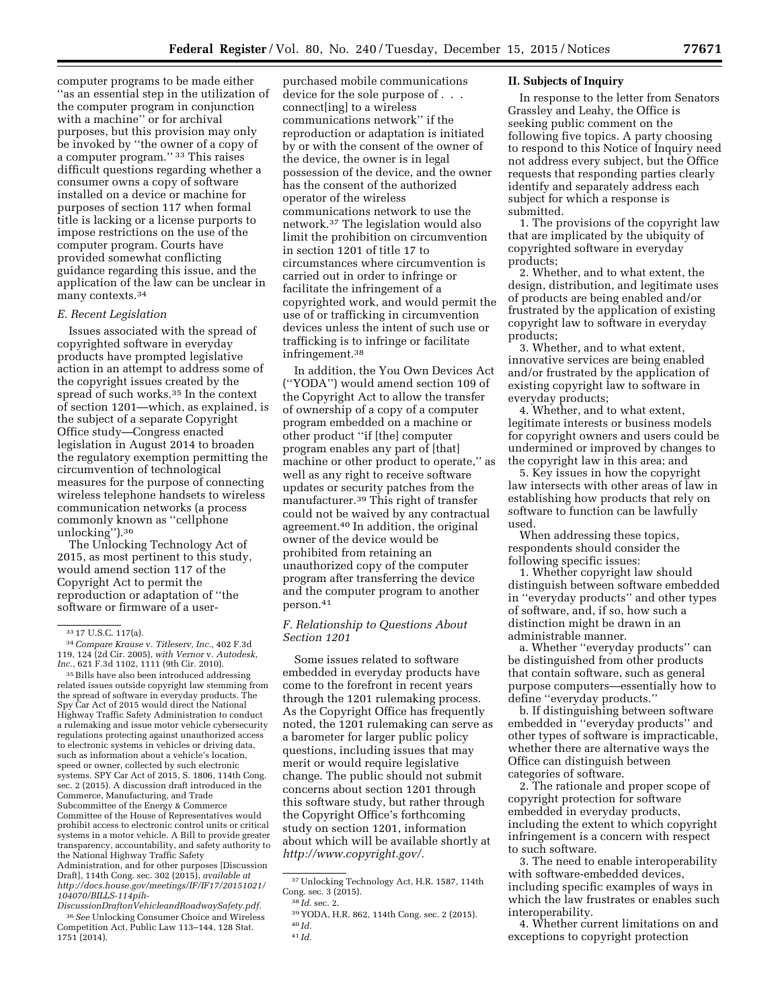computer programs to be made either ''as an essential step in the utilization of the computer program in conjunction with a machine'' or for archival purposes, but this provision may only be invoked by ''the owner of a copy of a computer program.'' 33 This raises difficult questions regarding whether a consumer owns a copy of software installed on a device or machine for purposes of section 117 when formal title is lacking or a license purports to impose restrictions on the use of the computer program. Courts have provided somewhat conflicting guidance regarding this issue, and the application of the law can be unclear in many contexts.34

### *E. Recent Legislation*

Issues associated with the spread of copyrighted software in everyday products have prompted legislative action in an attempt to address some of the copyright issues created by the spread of such works.35 In the context of section 1201—which, as explained, is the subject of a separate Copyright Office study—Congress enacted legislation in August 2014 to broaden the regulatory exemption permitting the circumvention of technological measures for the purpose of connecting wireless telephone handsets to wireless communication networks (a process commonly known as ''cellphone unlocking'').36

The Unlocking Technology Act of 2015, as most pertinent to this study, would amend section 117 of the Copyright Act to permit the reproduction or adaptation of ''the software or firmware of a user-

<sup>35</sup> Bills have also been introduced addressing related issues outside copyright law stemming from the spread of software in everyday products. The Spy Car Act of 2015 would direct the National Highway Traffic Safety Administration to conduct a rulemaking and issue motor vehicle cybersecurity regulations protecting against unauthorized access to electronic systems in vehicles or driving data, such as information about a vehicle's location, speed or owner, collected by such electronic systems. SPY Car Act of 2015, S. 1806, 114th Cong. sec. 2 (2015). A discussion draft introduced in the Commerce, Manufacturing, and Trade Subcommittee of the Energy & Commerce Committee of the House of Representatives would prohibit access to electronic control units or critical systems in a motor vehicle. A Bill to provide greater transparency, accountability, and safety authority to the National Highway Traffic Safety Administration, and for other purposes [Discussion Draft], 114th Cong. sec. 302 (2015), *available at [http://docs.house.gov/meetings/IF/IF17/20151021/](http://docs.house.gov/meetings/IF/IF17/20151021/104070/BILLS-114pih-DiscussionDraftonVehicleandRoadwaySafety.pdf) [104070/BILLS-114pih-](http://docs.house.gov/meetings/IF/IF17/20151021/104070/BILLS-114pih-DiscussionDraftonVehicleandRoadwaySafety.pdf)*

*[DiscussionDraftonVehicleandRoadwaySafety.pdf.](http://docs.house.gov/meetings/IF/IF17/20151021/104070/BILLS-114pih-DiscussionDraftonVehicleandRoadwaySafety.pdf)*  36*See* Unlocking Consumer Choice and Wireless Competition Act, Public Law 113–144, 128 Stat. 1751 (2014).

purchased mobile communications device for the sole purpose of  $\ldots$ connect[ing] to a wireless communications network'' if the reproduction or adaptation is initiated by or with the consent of the owner of the device, the owner is in legal possession of the device, and the owner has the consent of the authorized operator of the wireless communications network to use the network.37 The legislation would also limit the prohibition on circumvention in section 1201 of title 17 to circumstances where circumvention is carried out in order to infringe or facilitate the infringement of a copyrighted work, and would permit the use of or trafficking in circumvention devices unless the intent of such use or trafficking is to infringe or facilitate infringement.38

In addition, the You Own Devices Act (''YODA'') would amend section 109 of the Copyright Act to allow the transfer of ownership of a copy of a computer program embedded on a machine or other product ''if [the] computer program enables any part of [that] machine or other product to operate,'' as well as any right to receive software updates or security patches from the manufacturer.39 This right of transfer could not be waived by any contractual agreement.40 In addition, the original owner of the device would be prohibited from retaining an unauthorized copy of the computer program after transferring the device and the computer program to another person.41

# *F. Relationship to Questions About Section 1201*

Some issues related to software embedded in everyday products have come to the forefront in recent years through the 1201 rulemaking process. As the Copyright Office has frequently noted, the 1201 rulemaking can serve as a barometer for larger public policy questions, including issues that may merit or would require legislative change. The public should not submit concerns about section 1201 through this software study, but rather through the Copyright Office's forthcoming study on section 1201, information about which will be available shortly at *[http://www.copyright.gov/.](http://www.copyright.gov/)* 

#### **II. Subjects of Inquiry**

In response to the letter from Senators Grassley and Leahy, the Office is seeking public comment on the following five topics. A party choosing to respond to this Notice of Inquiry need not address every subject, but the Office requests that responding parties clearly identify and separately address each subject for which a response is submitted.

1. The provisions of the copyright law that are implicated by the ubiquity of copyrighted software in everyday products;

2. Whether, and to what extent, the design, distribution, and legitimate uses of products are being enabled and/or frustrated by the application of existing copyright law to software in everyday products;

3. Whether, and to what extent, innovative services are being enabled and/or frustrated by the application of existing copyright law to software in everyday products;

4. Whether, and to what extent, legitimate interests or business models for copyright owners and users could be undermined or improved by changes to the copyright law in this area; and

5. Key issues in how the copyright law intersects with other areas of law in establishing how products that rely on software to function can be lawfully used.

When addressing these topics, respondents should consider the following specific issues:

1. Whether copyright law should distinguish between software embedded in ''everyday products'' and other types of software, and, if so, how such a distinction might be drawn in an administrable manner.

a. Whether ''everyday products'' can be distinguished from other products that contain software, such as general purpose computers—essentially how to define ''everyday products.''

b. If distinguishing between software embedded in ''everyday products'' and other types of software is impracticable, whether there are alternative ways the Office can distinguish between categories of software.

2. The rationale and proper scope of copyright protection for software embedded in everyday products, including the extent to which copyright infringement is a concern with respect to such software.

3. The need to enable interoperability with software-embedded devices, including specific examples of ways in which the law frustrates or enables such interoperability.

4. Whether current limitations on and exceptions to copyright protection

<sup>33</sup> 17 U.S.C. 117(a). 34*Compare Krause* v. *Titleserv, Inc.,* 402 F.3d 119, 124 (2d Cir. 2005), *with Vernor* v. *Autodesk,* 

<sup>37</sup>Unlocking Technology Act, H.R. 1587, 114th Cong. sec. 3 (2015). 38 *Id.* sec. 2.

<sup>39</sup> YODA, H.R. 862, 114th Cong. sec. 2 (2015). 40 *Id.* 

<sup>41</sup> *Id.*